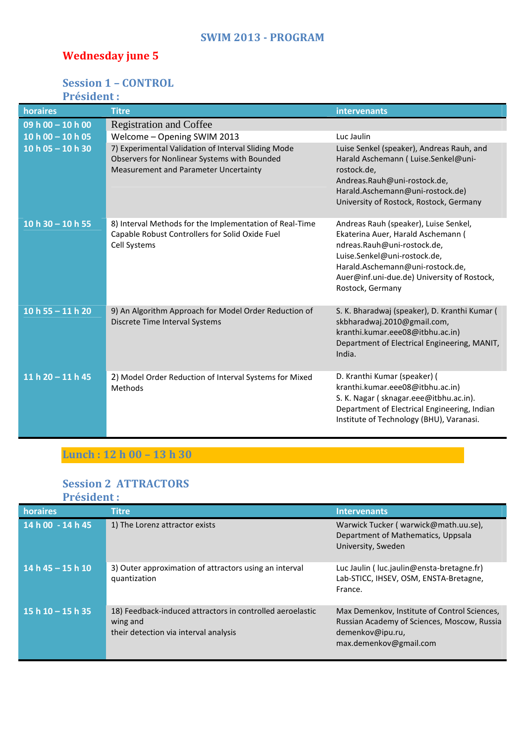#### **SWIM 2013 - PROGRAM**

# **Wednesday june 5**

## **Session 1 – CONTROL**

## **Président :**

| horaires              | <b>Titre</b>                                                                                                                                 | intervenants                                                                                                                                                                                                                                      |
|-----------------------|----------------------------------------------------------------------------------------------------------------------------------------------|---------------------------------------------------------------------------------------------------------------------------------------------------------------------------------------------------------------------------------------------------|
| $09 h 00 - 10 h 00$   | <b>Registration and Coffee</b>                                                                                                               |                                                                                                                                                                                                                                                   |
| 10 h $00 - 10$ h $05$ | Welcome - Opening SWIM 2013                                                                                                                  | Luc Jaulin                                                                                                                                                                                                                                        |
| $10 h 05 - 10 h 30$   | 7) Experimental Validation of Interval Sliding Mode<br>Observers for Nonlinear Systems with Bounded<br>Measurement and Parameter Uncertainty | Luise Senkel (speaker), Andreas Rauh, and<br>Harald Aschemann ( Luise.Senkel@uni-<br>rostock.de,<br>Andreas.Rauh@uni-rostock.de,<br>Harald.Aschemann@uni-rostock.de)<br>University of Rostock, Rostock, Germany                                   |
| 10 h $30 - 10$ h 55   | 8) Interval Methods for the Implementation of Real-Time<br>Capable Robust Controllers for Solid Oxide Fuel<br>Cell Systems                   | Andreas Rauh (speaker), Luise Senkel,<br>Ekaterina Auer, Harald Aschemann (<br>ndreas.Rauh@uni-rostock.de,<br>Luise.Senkel@uni-rostock.de,<br>Harald.Aschemann@uni-rostock.de,<br>Auer@inf.uni-due.de) University of Rostock,<br>Rostock, Germany |
| 10 h 55 $-$ 11 h 20   | 9) An Algorithm Approach for Model Order Reduction of<br>Discrete Time Interval Systems                                                      | S. K. Bharadwaj (speaker), D. Kranthi Kumar (<br>skbharadwaj.2010@gmail.com,<br>kranthi.kumar.eee08@itbhu.ac.in)<br>Department of Electrical Engineering, MANIT,<br>India.                                                                        |
| 11 h $20 - 11$ h 45   | 2) Model Order Reduction of Interval Systems for Mixed<br>Methods                                                                            | D. Kranthi Kumar (speaker) (<br>kranthi.kumar.eee08@itbhu.ac.in)<br>S. K. Nagar (sknagar.eee@itbhu.ac.in).<br>Department of Electrical Engineering, Indian<br>Institute of Technology (BHU), Varanasi.                                            |

# **Lunch : 12 h 00 – 13 h 30**

#### **Session 2 ATTRACTORS Président :**

| horaires            | <b>Titre</b>                                                                                                   | <b>Intervenants</b>                                                                                                                       |
|---------------------|----------------------------------------------------------------------------------------------------------------|-------------------------------------------------------------------------------------------------------------------------------------------|
| 14 h 00 - 14 h 45   | 1) The Lorenz attractor exists                                                                                 | Warwick Tucker (warwick@math.uu.se),<br>Department of Mathematics, Uppsala<br>University, Sweden                                          |
| $14 h 45 - 15 h 10$ | 3) Outer approximation of attractors using an interval<br>quantization                                         | Luc Jaulin (luc.jaulin@ensta-bretagne.fr)<br>Lab-STICC, IHSEV, OSM, ENSTA-Bretagne,<br>France.                                            |
| $15h10 - 15h35$     | 18) Feedback-induced attractors in controlled aeroelastic<br>wing and<br>their detection via interval analysis | Max Demenkov, Institute of Control Sciences,<br>Russian Academy of Sciences, Moscow, Russia<br>demenkov@ipu.ru,<br>max.demenkov@gmail.com |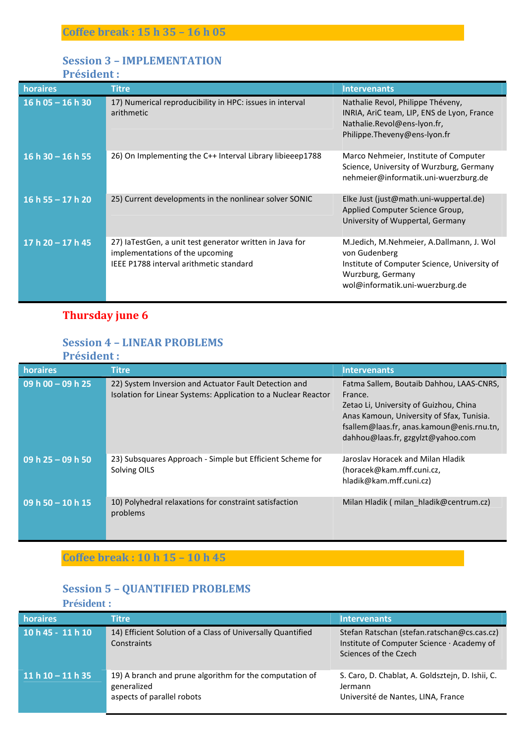## **Session 3 – IMPLEMENTATION**

**Président :** 

| horaires            | <u>Titre</u>                                                                                                                           | <b>Intervenants</b>                                                                                                                                               |
|---------------------|----------------------------------------------------------------------------------------------------------------------------------------|-------------------------------------------------------------------------------------------------------------------------------------------------------------------|
| $16 h 05 - 16 h 30$ | 17) Numerical reproducibility in HPC: issues in interval<br>arithmetic                                                                 | Nathalie Revol, Philippe Théveny,<br>INRIA, AriC team, LIP, ENS de Lyon, France<br>Nathalie.Revol@ens-lyon.fr,<br>Philippe.Theveny@ens-lyon.fr                    |
| $16h30 - 16h55$     | 26) On Implementing the C++ Interval Library libieeep1788                                                                              | Marco Nehmeier, Institute of Computer<br>Science, University of Wurzburg, Germany<br>nehmeier@informatik.uni-wuerzburg.de                                         |
| 16 h 55 $-$ 17 h 20 | 25) Current developments in the nonlinear solver SONIC                                                                                 | Elke Just (just@math.uni-wuppertal.de)<br>Applied Computer Science Group,<br>University of Wuppertal, Germany                                                     |
| 17 h $20 - 17$ h 45 | 27) IaTestGen, a unit test generator written in Java for<br>implementations of the upcoming<br>IEEE P1788 interval arithmetic standard | M.Jedich, M.Nehmeier, A.Dallmann, J. Wol<br>von Gudenberg<br>Institute of Computer Science, University of<br>Wurzburg, Germany<br>wol@informatik.uni-wuerzburg.de |

# **Thursday june 6**

### **Session 4 – LINEAR PROBLEMS**

|  | <b>Président :</b> |  |  |  |
|--|--------------------|--|--|--|
|  |                    |  |  |  |

| horaires                       | <b>Titre</b>                                                                                                            | <b>Intervenants</b>                                                                                                                                                                                                          |
|--------------------------------|-------------------------------------------------------------------------------------------------------------------------|------------------------------------------------------------------------------------------------------------------------------------------------------------------------------------------------------------------------------|
| 09 h $00 - 09$ h 25            | 22) System Inversion and Actuator Fault Detection and<br>Isolation for Linear Systems: Application to a Nuclear Reactor | Fatma Sallem, Boutaib Dahhou, LAAS-CNRS,<br>France.<br>Zetao Li, University of Guizhou, China<br>Anas Kamoun, University of Sfax, Tunisia.<br>fsallem@laas.fr, anas.kamoun@enis.rnu.tn,<br>dahhou@laas.fr, gzgylzt@yahoo.com |
| $\overline{09}$ h 25 - 09 h 50 | 23) Subsquares Approach - Simple but Efficient Scheme for<br>Solving OILS                                               | Jaroslav Horacek and Milan Hladik<br>(horacek@kam.mff.cuni.cz,<br>hladik@kam.mff.cuni.cz)                                                                                                                                    |
| $\overline{09h}$ 50 - 10 h 15  | 10) Polyhedral relaxations for constraint satisfaction<br>problems                                                      | Milan Hladik (milan hladik@centrum.cz)                                                                                                                                                                                       |

# **Coffee break : 10 h 15 – 10 h 45**

### **Session 5 – QUANTIFIED PROBLEMS**

#### **Président :**

| horaires            | <b>Titre</b>                                                                                         | <b>Intervenants</b>                                                                                                |
|---------------------|------------------------------------------------------------------------------------------------------|--------------------------------------------------------------------------------------------------------------------|
| 10 h 45 - 11 h 10   | 14) Efficient Solution of a Class of Universally Quantified<br>Constraints                           | Stefan Ratschan (stefan.ratschan@cs.cas.cz)<br>Institute of Computer Science · Academy of<br>Sciences of the Czech |
| 11 h $10 - 11$ h 35 | 19) A branch and prune algorithm for the computation of<br>generalized<br>aspects of parallel robots | S. Caro, D. Chablat, A. Goldsztejn, D. Ishii, C.<br>Jermann<br>Université de Nantes, LINA, France                  |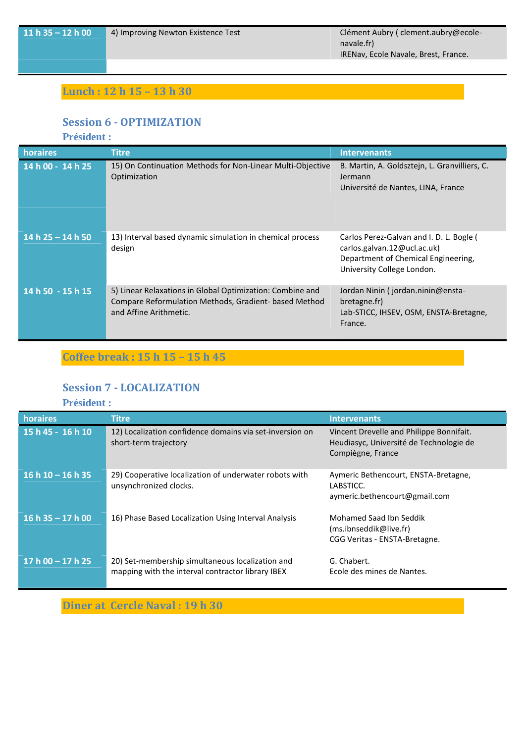**11 h 35 – 12 h 00**  $\blacksquare$  4) Improving Newton Existence Test Clément Aubry ( clement.aubry@ecolenavale.fr) IRENav, Ecole Navale, Brest, France.

## **Lunch : 12 h 15 – 13 h 30**

#### **Session 6 - OPTIMIZATION**

**Président :** 

| horaires            | <b>Titre</b>                                                                                                                                | <b>Intervenants</b>                                                                                                                          |
|---------------------|---------------------------------------------------------------------------------------------------------------------------------------------|----------------------------------------------------------------------------------------------------------------------------------------------|
| 14 h 00 - 14 h 25   | 15) On Continuation Methods for Non-Linear Multi-Objective<br>Optimization                                                                  | B. Martin, A. Goldsztejn, L. Granvilliers, C.<br>Jermann<br>Université de Nantes, LINA, France                                               |
| 14 h $25 - 14$ h 50 | 13) Interval based dynamic simulation in chemical process<br>design                                                                         | Carlos Perez-Galvan and I. D. L. Bogle (<br>carlos.galvan.12@ucl.ac.uk)<br>Department of Chemical Engineering,<br>University College London. |
| 14 h 50 - 15 h 15   | 5) Linear Relaxations in Global Optimization: Combine and<br>Compare Reformulation Methods, Gradient-based Method<br>and Affine Arithmetic. | Jordan Ninin (jordan.ninin@ensta-<br>bretagne.fr)<br>Lab-STICC, IHSEV, OSM, ENSTA-Bretagne,<br>France.                                       |

**Coffee break : 15 h 15 – 15 h 45** 

#### **Session 7 - LOCALIZATION**

**Président :** 

| horaires            | <b>Titre</b>                                                                                          | <b>Intervenants</b>                                                                                      |
|---------------------|-------------------------------------------------------------------------------------------------------|----------------------------------------------------------------------------------------------------------|
| 15 h 45 - 16 h 10   | 12) Localization confidence domains via set-inversion on<br>short-term trajectory                     | Vincent Drevelle and Philippe Bonnifait.<br>Heudiasyc, Université de Technologie de<br>Compiègne, France |
| $16 h 10 - 16 h 35$ | 29) Cooperative localization of underwater robots with<br>unsynchronized clocks.                      | Aymeric Bethencourt, ENSTA-Bretagne,<br>LABSTICC.<br>aymeric.bethencourt@gmail.com                       |
| $16 h 35 - 17 h 00$ | 16) Phase Based Localization Using Interval Analysis                                                  | Mohamed Saad Ibn Seddik<br>(ms.ibnseddik@live.fr)<br>CGG Veritas - ENSTA-Bretagne.                       |
| $17h00 - 17h25$     | 20) Set-membership simultaneous localization and<br>mapping with the interval contractor library IBEX | G. Chabert.<br>Ecole des mines de Nantes.                                                                |

**Diner at Cercle Naval : 19 h 30**